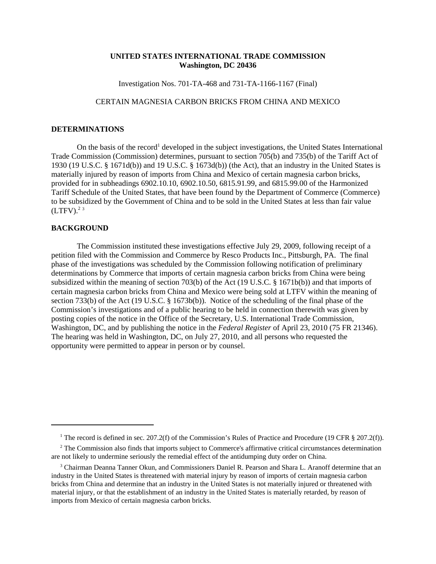## **UNITED STATES INTERNATIONAL TRADE COMMISSION Washington, DC 20436**

Investigation Nos. 701-TA-468 and 731-TA-1166-1167 (Final)

## CERTAIN MAGNESIA CARBON BRICKS FROM CHINA AND MEXICO

## **DETERMINATIONS**

On the basis of the record<sup>1</sup> developed in the subject investigations, the United States International Trade Commission (Commission) determines, pursuant to section 705(b) and 735(b) of the Tariff Act of 1930 (19 U.S.C. § 1671d(b)) and 19 U.S.C. § 1673d(b)) (the Act), that an industry in the United States is materially injured by reason of imports from China and Mexico of certain magnesia carbon bricks, provided for in subheadings 6902.10.10, 6902.10.50, 6815.91.99, and 6815.99.00 of the Harmonized Tariff Schedule of the United States, that have been found by the Department of Commerce (Commerce) to be subsidized by the Government of China and to be sold in the United States at less than fair value  $(LTFV).^{2}$ <sup>3</sup>

## **BACKGROUND**

The Commission instituted these investigations effective July 29, 2009, following receipt of a petition filed with the Commission and Commerce by Resco Products Inc., Pittsburgh, PA. The final phase of the investigations was scheduled by the Commission following notification of preliminary determinations by Commerce that imports of certain magnesia carbon bricks from China were being subsidized within the meaning of section 703(b) of the Act (19 U.S.C. § 1671b(b)) and that imports of certain magnesia carbon bricks from China and Mexico were being sold at LTFV within the meaning of section 733(b) of the Act (19 U.S.C. § 1673b(b)). Notice of the scheduling of the final phase of the Commission's investigations and of a public hearing to be held in connection therewith was given by posting copies of the notice in the Office of the Secretary, U.S. International Trade Commission, Washington, DC, and by publishing the notice in the *Federal Register* of April 23, 2010 (75 FR 21346). The hearing was held in Washington, DC, on July 27, 2010, and all persons who requested the opportunity were permitted to appear in person or by counsel.

<sup>&</sup>lt;sup>1</sup> The record is defined in sec. 207.2(f) of the Commission's Rules of Practice and Procedure (19 CFR § 207.2(f)).

<sup>&</sup>lt;sup>2</sup> The Commission also finds that imports subject to Commerce's affirmative critical circumstances determination are not likely to undermine seriously the remedial effect of the antidumping duty order on China.

<sup>&</sup>lt;sup>3</sup> Chairman Deanna Tanner Okun, and Commissioners Daniel R. Pearson and Shara L. Aranoff determine that an industry in the United States is threatened with material injury by reason of imports of certain magnesia carbon bricks from China and determine that an industry in the United States is not materially injured or threatened with material injury, or that the establishment of an industry in the United States is materially retarded, by reason of imports from Mexico of certain magnesia carbon bricks.